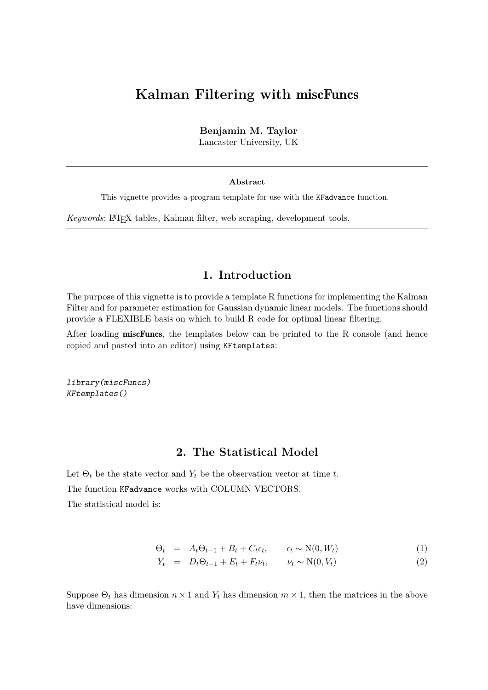# **Kalman Filtering with** miscFuncs

**Benjamin M. Taylor**

Lancaster University, UK

#### **Abstract**

This vignette provides a program template for use with the KFadvance function.

*Keywords*: L<sup>A</sup>TEX tables, Kalman filter, web scraping, development tools.

## **1. Introduction**

The purpose of this vignette is to provide a template R functions for implementing the Kalman Filter and for parameter estimation for Gaussian dynamic linear models. The functions should provide a FLEXIBLE basis on which to build R code for optimal linear filtering.

After loading miscFuncs, the templates below can be printed to the R console (and hence copied and pasted into an editor) using KFtemplates:

library(miscFuncs) KFtemplates()

#### **2. The Statistical Model**

Let  $\Theta_t$  be the state vector and  $Y_t$  be the observation vector at time *t*.

The function KFadvance works with COLUMN VECTORS.

The statistical model is:

$$
\Theta_t = A_t \Theta_{t-1} + B_t + C_t \epsilon_t, \qquad \epsilon_t \sim \mathcal{N}(0, W_t) \tag{1}
$$

$$
Y_t = D_t \Theta_{t-1} + E_t + F_t \nu_t, \qquad \nu_t \sim \mathcal{N}(0, V_t)
$$
\n
$$
(2)
$$

Suppose  $\Theta_t$  has dimension  $n \times 1$  and  $Y_t$  has dimension  $m \times 1$ , then the matrices in the above have dimensions: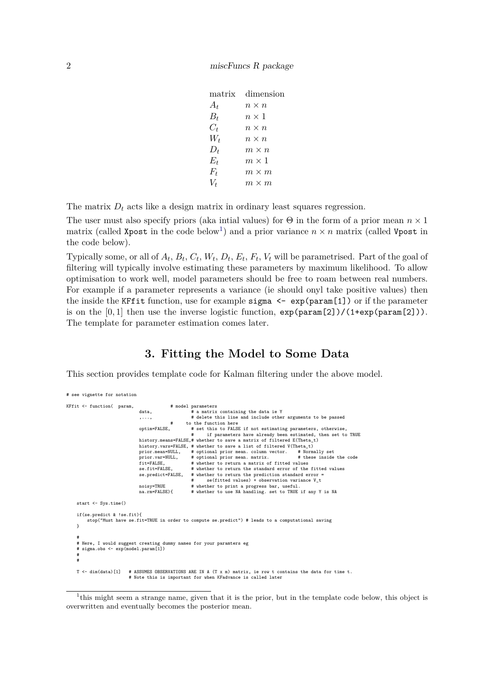| matrix | dimension    |
|--------|--------------|
| $A_t$  | $n \times n$ |
| $B_t$  | $n \times 1$ |
| $C_t$  | $n \times n$ |
| $W_t$  | $n \times n$ |
| $D_t$  | $m \times n$ |
| E+     | $m \times 1$ |
| $F_t$  | $m \times m$ |
| Vt     | $m \times m$ |
|        |              |

The matrix  $D_t$  acts like a design matrix in ordinary least squares regression.

The user must also specify priors (aka intial values) for  $\Theta$  in the form of a prior mean  $n \times 1$ matrix (called Xpost in the code below<sup>[1](#page-1-0)</sup>) and a prior variance  $n \times n$  matrix (called Vpost in the code below).

Typically some, or all of  $A_t$ ,  $B_t$ ,  $C_t$ ,  $W_t$ ,  $D_t$ ,  $E_t$ ,  $F_t$ ,  $V_t$  will be parametrised. Part of the goal of filtering will typically involve estimating these parameters by maximum likelihood. To allow optimisation to work well, model parameters should be free to roam between real numbers. For example if a parameter represents a variance (ie should onyl take positive values) then the inside the KFfit function, use for example sigma  $\leq -\exp(\text{param}[1])$  or if the parameter is on the  $[0,1]$  then use the inverse logistic function,  $\exp(\text{param}[2])/(\text{1+exp}(\text{param}[2]))$ . The template for parameter estimation comes later.

## **3. Fitting the Model to Some Data**

This section provides template code for Kalman filtering under the above model.

| # see vignette for notation                                                                                                                                                         |                                                                                                                                                                 |                                                                                                                                                                                                                                                                                                                                                                                                                                                                                                                                                                                                                                                                                                                                                                                                                                                                                                        |
|-------------------------------------------------------------------------------------------------------------------------------------------------------------------------------------|-----------------------------------------------------------------------------------------------------------------------------------------------------------------|--------------------------------------------------------------------------------------------------------------------------------------------------------------------------------------------------------------------------------------------------------------------------------------------------------------------------------------------------------------------------------------------------------------------------------------------------------------------------------------------------------------------------------------------------------------------------------------------------------------------------------------------------------------------------------------------------------------------------------------------------------------------------------------------------------------------------------------------------------------------------------------------------------|
| KFfit <- function( param,                                                                                                                                                           | data.<br>, ,<br>#<br>optim=FALSE,<br>prior.mean=NULL,<br>prior.var=NULL,<br>$fit = FALSE.$<br>se.fit=FALSE.<br>se.predict=FALSE,<br>noisy=TRUE<br>na.rm=FALSE){ | # model parameters<br># a matrix containing the data ie Y<br># delete this line and include other arguments to be passed<br>to the function here<br># set this to FALSE if not estimating parameters, otherwise,<br>if parameters have already been estimated, then set to TRUE<br>$\#$<br>history.means=FALSE,# whether to save a matrix of filtered E(Theta_t)<br>history.vars=FALSE, # whether to save a list of filtered V(Theta_t)<br># optional prior mean. column vector. # Normally set<br># optional prior mean. matrix.<br># these inside the code<br># whether to return a matrix of fitted values<br># whether to return the standard error of the fitted values<br># whether to return the prediction standard error =<br>se(fitted values) + observation variance V_t<br>$\pm$<br># whether to print a progress bar, useful.<br># whether to use NA handling. set to TRUE if any Y is NA |
| start <- Sys.time()<br>$if(se.predict & !se.fit)$ {<br>}<br>#<br># Here, I would suggest creating dummy names for your paramters eg<br># sigma.obs <- exp(model.param[1])<br>#<br># |                                                                                                                                                                 | stop("Must have se.fit=TRUE in order to compute se.predict") # leads to a computational saving                                                                                                                                                                                                                                                                                                                                                                                                                                                                                                                                                                                                                                                                                                                                                                                                         |
| T <- dim(data)[1]                                                                                                                                                                   |                                                                                                                                                                 | # ASSUMES OBSERVATIONS ARE IN A (T x m) matrix, ie row t contains the data for time t.<br># Note this is important for when KFadvance is called later                                                                                                                                                                                                                                                                                                                                                                                                                                                                                                                                                                                                                                                                                                                                                  |

<span id="page-1-0"></span><sup>&</sup>lt;sup>1</sup>this might seem a strange name, given that it is the prior, but in the template code below, this object is overwritten and eventually becomes the posterior mean.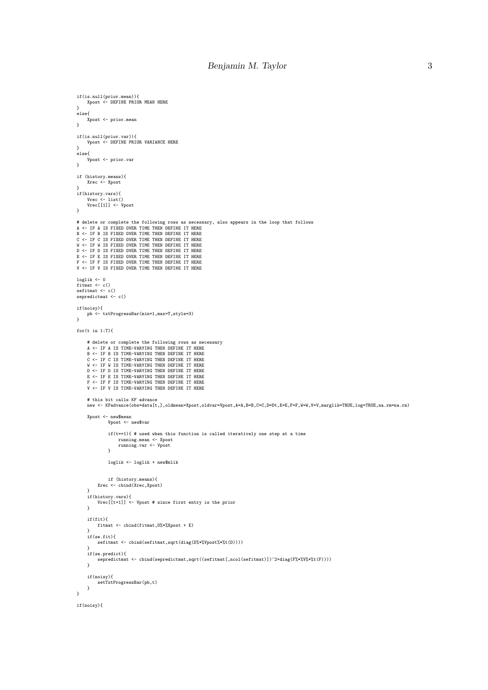```
if(is.null(prior.mean)){
Xpost <- DEFINE PRIOR MEAN HERE
\mathbf{r}else{
      Xpost <- prior.mean
\mathbf{r}if(is.null(prior.var)){
Vpost <- DEFINE PRIOR VARIANCE HERE
 }
else{
      Vpost <- prior.var
}
 if (history.means){
Xrec <- Xpost
 }
if(history.vars){
Vrec <- list()
Vrec[[1]] <- Vpost
\overline{1}# delete or complete the following rows as necessary, also appears in the loop that follows
A <- IF A IS FIXED OVER TIME THEN DEFINE IT HERE
 B <- IF B IS FIXED OVER TIME THEN DEFINE IT HERE
C <- IF C IS FIXED OVER TIME THEN DEFINE IT HERE
 W <- IF W IS FIXED OVER TIME THEN DEFINE IT HERE<br>D <- IF D IS FIXED OVER TIME THEN DEFINE IT HERE
E <- IF E IS FIXED OVER TIME THEN DEFINE IT HERE
F <- IF F IS FIXED OVER TIME THEN DEFINE IT HERE
V <- IF V IS FIXED OVER TIME THEN DEFINE IT HERE
 loglik <- 0
fitmat <- c()
sefitmat <- c()
sepredictmat <- c()
if(noisy){
      pb <- txtProgressBar(min=1,max=T,style=3)
}
for(t in 1:T){
      # delete or complete the following rows as necessary
       A <- IF A IS TIME-VARYING THEN DEFINE IT HERE<br>B <- IF B IS TIME-VARYING THEN DEFINE IT HERE<br>C <- IF C IS TIME-VARYING THEN DEFINE IT HERE<br>W <- IF W IS TIME-VARYING THEN DEFINE IT HERE<br>D <- IF W IS TIME-VARYING THEN DEFINE 
       E <- IF E IS TIME-VARYING THEN DEFINE IT HERE
F <- IF F IS TIME-VARYING THEN DEFINE IT HERE
      V <- IF V IS TIME-VARYING THEN DEFINE IT HERE
       # this bit calls KF advance
new <- KFadvance(obs=data[t,],oldmean=Xpost,oldvar=Vpost,A=A,B=B,C=C,D=Dt,E=E,F=F,W=W,V=V,marglik=TRUE,log=TRUE,na.rm=na.rm)
      Xpost <- new$mean
                  Vpost <- new$var
                   if(t==1){ # used when this function is called iteratively one step at a time
running.mean <- Xpost
running.var <- Vpost
                  }
                 loglik <- loglik + new$mlik
             if (history.means){
Xrec <- cbind(Xrec,Xpost)
       }
if(history.vars){
Vrec[[t+1]] <- Vpost # since first entry is the prior
      }
      if(fit){
            fitmat <- cbind(fitmat,D%*%Xpost + E)
       }
if(se.fit){
            sefitmat <- cbind(sefitmat,sqrt(diag(D%*%Vpost%*%t(D))))
       }<br>if(se.predict){<br>sepredictmat <- cbind(sepredictmat,sqrt((sefitmat[,ncol(sefitmat)])^2+diag(F%*%V%*%t(F))))
      \overline{1}if(noisy){
setTxtProgressBar(pb,t)
      \overline{1}}
if(noisy){
```